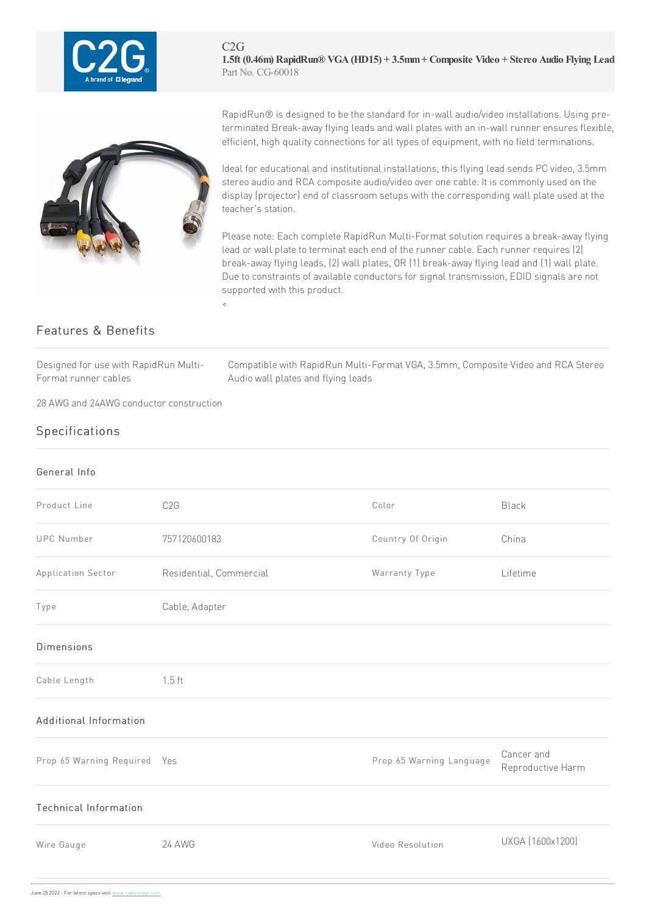



RapidRun® is designed to be the standard for in-wall audio/video installations. Using preterminated Break-away flying leads and wall plates with an in-wall runner ensures flexible, efficient, high quality connections for all types of equipment, with no field terminations.

Ideal for educational and institutional installations, this flying lead sends PC video, 3.5mm stereo audio and RCA composite audio/video over one cable. It is commonly used on the display (projector) end of classroom setups with the corresponding wall plate used at the teacher's station.

Please note: Each complete RapidRun Multi-Format solution requires a break-away flying lead or wall plate to terminat each end of the runner cable. Each runner requires (2) break-away flying leads, (2) wall plates, OR (1) break-away flying lead and (1) wall plate. Due to constraints of available conductors for signal transmission, EDID signals are not supported with this product.  $\langle$ 

## Features & Benefits

Designed for use with RapidRun Multi-Format runner cables

Compatible with RapidRun Multi-Format VGA, 3.5mm, Composite Video and RCA Stereo Audio wall plates and flying leads

28AWG and 24AWG conductor construction

## Specifications

## General Info Product Line C2G C2G Color Color Color Black UPC Number 757120600183 Country Of Origin China Application Sector **Residential, Commercial Commercial** Warranty Type Lifetime Type Cable, Adapter Dimensions Cable Length 1.5 ft Additional Information Prop 65 Warning Required Yes **Prop 65 Warning Language** Prop 65 Warning Language Cancer and Reproductive Harm Technical Information Wire Gauge 24AWG Video Resolution UXGA(1600x1200)